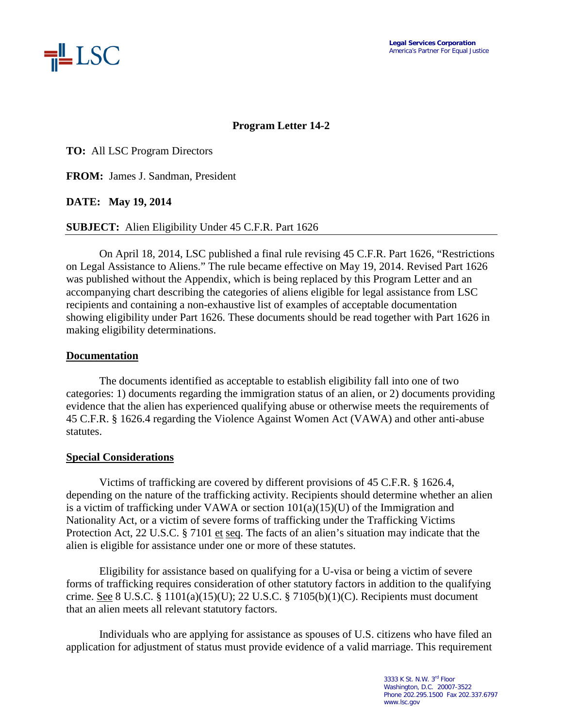

## **Program Letter 14-2**

**TO:** All LSC Program Directors

**FROM:** James J. Sandman, President

**DATE: May 19, 2014**

**SUBJECT:** Alien Eligibility Under 45 C.F.R. Part 1626

On April 18, 2014, LSC published a final rule revising 45 C.F.R. Part 1626, "Restrictions on Legal Assistance to Aliens." The rule became effective on May 19, 2014. Revised Part 1626 was published without the Appendix, which is being replaced by this Program Letter and an accompanying chart describing the categories of aliens eligible for legal assistance from LSC recipients and containing a non-exhaustive list of examples of acceptable documentation showing eligibility under Part 1626. These documents should be read together with Part 1626 in making eligibility determinations.

## **Documentation**

The documents identified as acceptable to establish eligibility fall into one of two categories: 1) documents regarding the immigration status of an alien, or 2) documents providing evidence that the alien has experienced qualifying abuse or otherwise meets the requirements of 45 C.F.R. § 1626.4 regarding the Violence Against Women Act (VAWA) and other anti-abuse statutes.

## **Special Considerations**

Victims of trafficking are covered by different provisions of 45 C.F.R. § 1626.4, depending on the nature of the trafficking activity. Recipients should determine whether an alien is a victim of trafficking under VAWA or section  $101(a)(15)(U)$  of the Immigration and Nationality Act, or a victim of severe forms of trafficking under the Trafficking Victims Protection Act, 22 U.S.C. § 7101 et seq. The facts of an alien's situation may indicate that the alien is eligible for assistance under one or more of these statutes.

Eligibility for assistance based on qualifying for a U-visa or being a victim of severe forms of trafficking requires consideration of other statutory factors in addition to the qualifying crime. See 8 U.S.C. § 1101(a)(15)(U); 22 U.S.C. § 7105(b)(1)(C). Recipients must document that an alien meets all relevant statutory factors.

Individuals who are applying for assistance as spouses of U.S. citizens who have filed an application for adjustment of status must provide evidence of a valid marriage. This requirement

> 3333 K St. N.W. 3rd Floor Washington, D.C. 20007-3522 Phone 202.295.1500 Fax 202.337.6797 www.lsc.gov